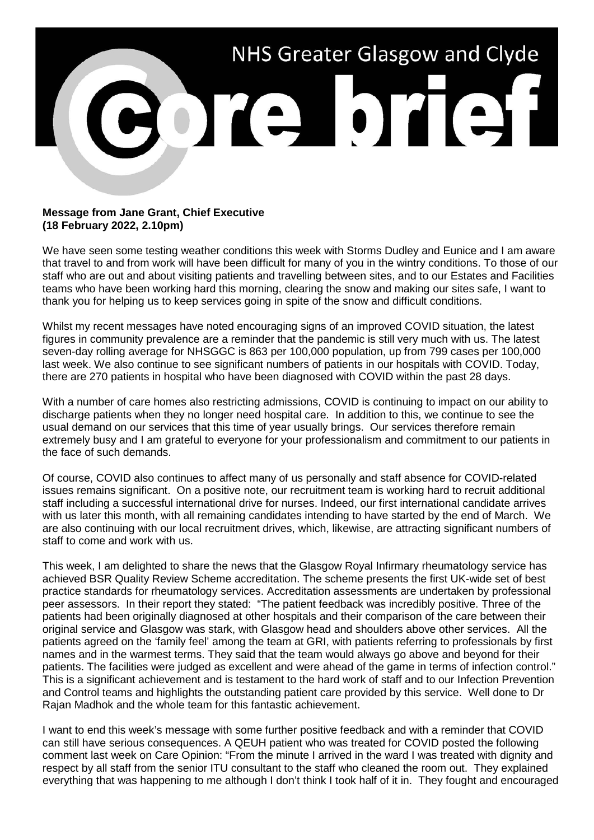

## **Message from Jane Grant, Chief Executive (18 February 2022, 2.10pm)**

We have seen some testing weather conditions this week with Storms Dudley and Eunice and I am aware that travel to and from work will have been difficult for many of you in the wintry conditions. To those of our staff who are out and about visiting patients and travelling between sites, and to our Estates and Facilities teams who have been working hard this morning, clearing the snow and making our sites safe, I want to thank you for helping us to keep services going in spite of the snow and difficult conditions.

Whilst my recent messages have noted encouraging signs of an improved COVID situation, the latest figures in community prevalence are a reminder that the pandemic is still very much with us. The latest seven-day rolling average for NHSGGC is 863 per 100,000 population, up from 799 cases per 100,000 last week. We also continue to see significant numbers of patients in our hospitals with COVID. Today, there are 270 patients in hospital who have been diagnosed with COVID within the past 28 days.

With a number of care homes also restricting admissions, COVID is continuing to impact on our ability to discharge patients when they no longer need hospital care. In addition to this, we continue to see the usual demand on our services that this time of year usually brings. Our services therefore remain extremely busy and I am grateful to everyone for your professionalism and commitment to our patients in the face of such demands.

Of course, COVID also continues to affect many of us personally and staff absence for COVID-related issues remains significant. On a positive note, our recruitment team is working hard to recruit additional staff including a successful international drive for nurses. Indeed, our first international candidate arrives with us later this month, with all remaining candidates intending to have started by the end of March. We are also continuing with our local recruitment drives, which, likewise, are attracting significant numbers of staff to come and work with us.

This week, I am delighted to share the news that the Glasgow Royal Infirmary rheumatology service has achieved BSR Quality Review Scheme accreditation. The scheme presents the first UK-wide set of best practice standards for rheumatology services. Accreditation assessments are undertaken by professional peer assessors. In their report they stated: "The patient feedback was incredibly positive. Three of the patients had been originally diagnosed at other hospitals and their comparison of the care between their original service and Glasgow was stark, with Glasgow head and shoulders above other services. All the patients agreed on the 'family feel' among the team at GRI, with patients referring to professionals by first names and in the warmest terms. They said that the team would always go above and beyond for their patients. The facilities were judged as excellent and were ahead of the game in terms of infection control." This is a significant achievement and is testament to the hard work of staff and to our Infection Prevention and Control teams and highlights the outstanding patient care provided by this service. Well done to Dr Rajan Madhok and the whole team for this fantastic achievement.

I want to end this week's message with some further positive feedback and with a reminder that COVID can still have serious consequences. A QEUH patient who was treated for COVID posted the following comment last week on Care Opinion: "From the minute I arrived in the ward I was treated with dignity and respect by all staff from the senior ITU consultant to the staff who cleaned the room out. They explained everything that was happening to me although I don't think I took half of it in. They fought and encouraged